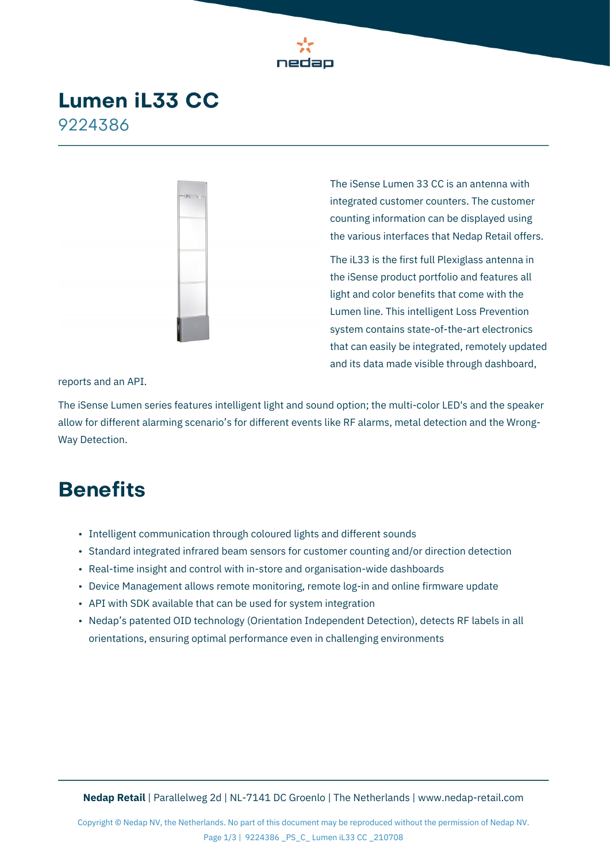

### **Lumen iL33 CC** 9224386



The iSense Lumen 33 CC is an antenna with integrated customer counters. The customer counting information can be displayed using the various interfaces that Nedap Retail offers.

The iL33 is the first full Plexiglass antenna in the iSense product portfolio and features all light and color benefits that come with the Lumen line. This intelligent Loss Prevention system contains state-of-the-art electronics that can easily be integrated, remotely updated and its data made visible through dashboard,

reports and an API.

The iSense Lumen series features intelligent light and sound option; the multi-color LED's and the speaker allow for different alarming scenario's for different events like RF alarms, metal detection and the Wrong-Way Detection.

## **Benefits**

- Intelligent communication through coloured lights and different sounds
- Standard integrated infrared beam sensors for customer counting and/or direction detection
- Real-time insight and control with in-store and organisation-wide dashboards
- Device Management allows remote monitoring, remote log-in and online firmware update
- API with SDK available that can be used for system integration
- Nedap's patented OID technology (Orientation Independent Detection), detects RF labels in all orientations, ensuring optimal performance even in challenging environments

**Nedap Retail** | Parallelweg 2d | NL-7141 DC Groenlo | The Netherlands | [www.nedap-retail.com](https://www.nedap-retail.com)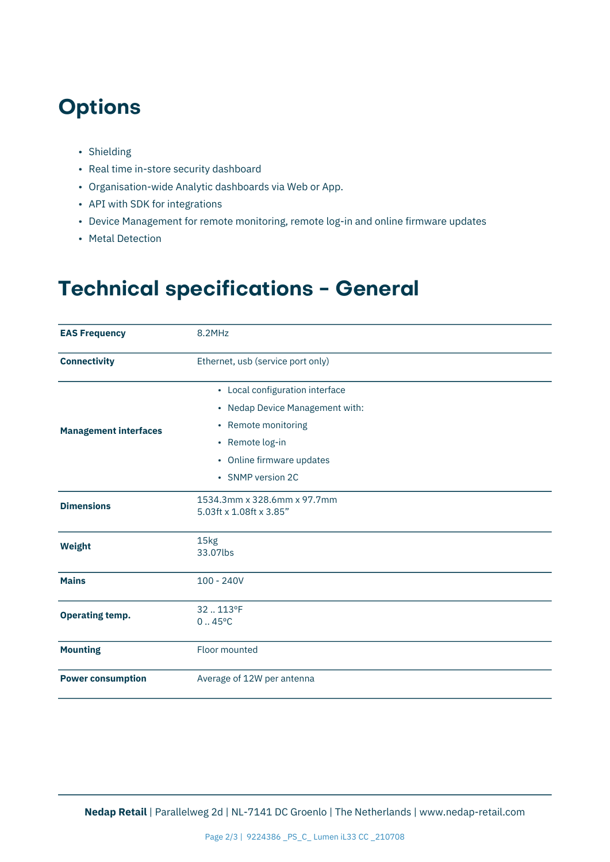## **Options**

- Shielding
- Real time in-store security dashboard
- Organisation-wide Analytic dashboards via Web or App.
- API with SDK for integrations
- Device Management for remote monitoring, remote log-in and online firmware updates
- Metal Detection

# **Technical specifications - General**

| <b>EAS Frequency</b>         | 8.2MHz                                                             |  |
|------------------------------|--------------------------------------------------------------------|--|
| <b>Connectivity</b>          | Ethernet, usb (service port only)                                  |  |
| <b>Management interfaces</b> | • Local configuration interface<br>• Nedap Device Management with: |  |
|                              | • Remote monitoring                                                |  |
|                              | • Remote log-in                                                    |  |
|                              | • Online firmware updates                                          |  |
|                              | • SNMP version 2C                                                  |  |
| <b>Dimensions</b>            | 1534.3mm x 328.6mm x 97.7mm<br>5.03ft x 1.08ft x 3.85"             |  |
| <b>Weight</b>                | 15kg<br>33.07lbs                                                   |  |
| <b>Mains</b>                 | $100 - 240V$                                                       |  |
| <b>Operating temp.</b>       | 32.113°F<br>$0.45^{\circ}$ C                                       |  |
| <b>Mounting</b>              | Floor mounted                                                      |  |
| <b>Power consumption</b>     | Average of 12W per antenna                                         |  |

**Nedap Retail** | Parallelweg 2d | NL-7141 DC Groenlo | The Netherlands | [www.nedap-retail.com](https://www.nedap-retail.com)